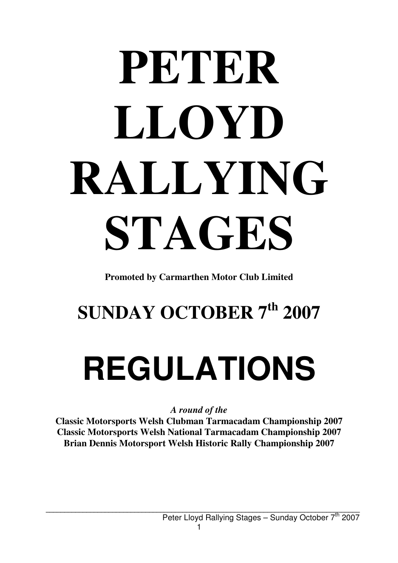# **PETER LLOYD RALLYING STAGES**

**Promoted by Carmarthen Motor Club Limited**

### **SUNDAY OCTOBER 7th 2007**

## **REGULATIONS**

*A round of the* 

**Classic Motorsports Welsh Clubman Tarmacadam Championship 2007 Classic Motorsports Welsh National Tarmacadam Championship 2007 Brian Dennis Motorsport Welsh Historic Rally Championship 2007**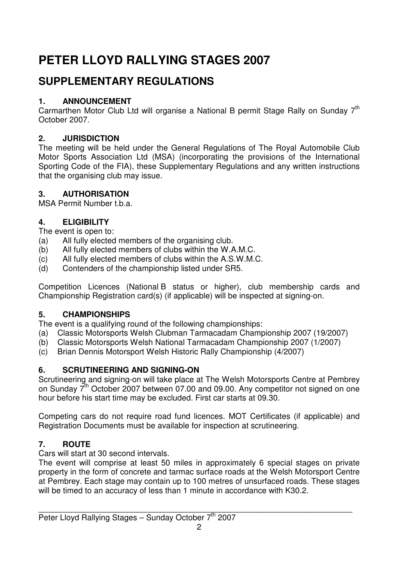#### **PETER LLOYD RALLYING STAGES 2007**

#### **SUPPLEMENTARY REGULATIONS**

#### **1. ANNOUNCEMENT**

Carmarthen Motor Club Ltd will organise a National B permit Stage Rally on Sunday 7<sup>th</sup> October 2007.

#### **2. JURISDICTION**

The meeting will be held under the General Regulations of The Royal Automobile Club Motor Sports Association Ltd (MSA) (incorporating the provisions of the International Sporting Code of the FIA), these Supplementary Regulations and any written instructions that the organising club may issue.

#### **3. AUTHORISATION**

MSA Permit Number t.b.a.

#### **4. ELIGIBILITY**

The event is open to:

- (a) All fully elected members of the organising club.
- (b) All fully elected members of clubs within the W.A.M.C.
- (c) All fully elected members of clubs within the A.S.W.M.C.
- (d) Contenders of the championship listed under SR5.

Competition Licences (National B status or higher), club membership cards and Championship Registration card(s) (if applicable) will be inspected at signing-on.

#### **5. CHAMPIONSHIPS**

The event is a qualifying round of the following championships:

- (a) Classic Motorsports Welsh Clubman Tarmacadam Championship 2007 (19/2007)
- (b) Classic Motorsports Welsh National Tarmacadam Championship 2007 (1/2007)
- (c) Brian Dennis Motorsport Welsh Historic Rally Championship (4/2007)

#### **6. SCRUTINEERING AND SIGNING-ON**

Scrutineering and signing-on will take place at The Welsh Motorsports Centre at Pembrey on Sunday  $7<sup>th</sup>$  October 2007 between 07.00 and 09.00. Any competitor not signed on one hour before his start time may be excluded. First car starts at 09.30.

Competing cars do not require road fund licences. MOT Certificates (if applicable) and Registration Documents must be available for inspection at scrutineering.

#### **7. ROUTE**

Cars will start at 30 second intervals.

The event will comprise at least 50 miles in approximately 6 special stages on private property in the form of concrete and tarmac surface roads at the Welsh Motorsport Centre at Pembrey. Each stage may contain up to 100 metres of unsurfaced roads. These stages will be timed to an accuracy of less than 1 minute in accordance with K30.2.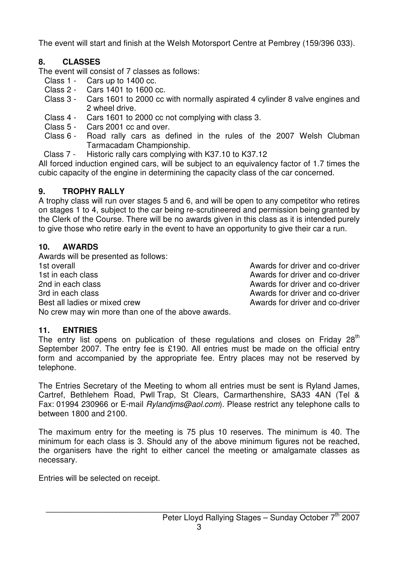The event will start and finish at the Welsh Motorsport Centre at Pembrey (159/396 033).

#### **8. CLASSES**

The event will consist of 7 classes as follows:

- Class 1 Cars up to 1400 cc.
- Class 2 Cars 1401 to 1600 cc.
- Class 3 Cars 1601 to 2000 cc with normally aspirated 4 cylinder 8 valve engines and 2 wheel drive.
- Class 4 Cars 1601 to 2000 cc not complying with class 3.
- Class 5 Cars 2001 cc and over.
- Class 6 Road rally cars as defined in the rules of the 2007 Welsh Clubman Tarmacadam Championship.
- Class 7 Historic rally cars complying with K37.10 to K37.12

All forced induction engined cars, will be subject to an equivalency factor of 1.7 times the cubic capacity of the engine in determining the capacity class of the car concerned.

#### **9. TROPHY RALLY**

A trophy class will run over stages 5 and 6, and will be open to any competitor who retires on stages 1 to 4, subject to the car being re-scrutineered and permission being granted by the Clerk of the Course. There will be no awards given in this class as it is intended purely to give those who retire early in the event to have an opportunity to give their car a run.

#### **10. AWARDS**

Awards will be presented as follows: 1st overall Awards for driver and co-driver 1st in each class **Awards** for driver and co-driver 2nd in each class **Awards for driver and co-driver** 2nd in each class Awards for driver and co-driver 3rd in each class Awards for driver and co-driver Best all ladies or mixed crew Awards for driver and co-driver No crew may win more than one of the above awards.

#### **11. ENTRIES**

The entry list opens on publication of these regulations and closes on Friday  $28<sup>th</sup>$ September 2007. The entry fee is £190. All entries must be made on the official entry form and accompanied by the appropriate fee. Entry places may not be reserved by telephone.

The Entries Secretary of the Meeting to whom all entries must be sent is Ryland James, Cartref, Bethlehem Road, Pwll Trap, St Clears, Carmarthenshire, SA33 4AN (Tel & Fax: 01994 230966 or E-mail Rylandims@aol.com). Please restrict any telephone calls to between 1800 and 2100.

The maximum entry for the meeting is 75 plus 10 reserves. The minimum is 40. The minimum for each class is 3. Should any of the above minimum figures not be reached, the organisers have the right to either cancel the meeting or amalgamate classes as necessary.

Entries will be selected on receipt.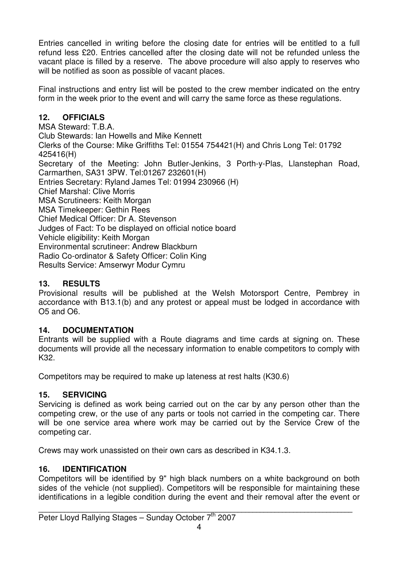Entries cancelled in writing before the closing date for entries will be entitled to a full refund less £20. Entries cancelled after the closing date will not be refunded unless the vacant place is filled by a reserve. The above procedure will also apply to reserves who will be notified as soon as possible of vacant places.

Final instructions and entry list will be posted to the crew member indicated on the entry form in the week prior to the event and will carry the same force as these regulations.

#### **12. OFFICIALS**

MSA Steward: T.B.A. Club Stewards: Ian Howells and Mike Kennett Clerks of the Course: Mike Griffiths Tel: 01554 754421(H) and Chris Long Tel: 01792 425416(H) Secretary of the Meeting: John Butler-Jenkins, 3 Porth-y-Plas, Llanstephan Road, Carmarthen, SA31 3PW. Tel:01267 232601(H) Entries Secretary: Ryland James Tel: 01994 230966 (H) Chief Marshal: Clive Morris MSA Scrutineers: Keith Morgan MSA Timekeeper: Gethin Rees Chief Medical Officer: Dr A. Stevenson Judges of Fact: To be displayed on official notice board Vehicle eligibility: Keith Morgan Environmental scrutineer: Andrew Blackburn Radio Co-ordinator & Safety Officer: Colin King Results Service: Amserwyr Modur Cymru

#### **13. RESULTS**

Provisional results will be published at the Welsh Motorsport Centre, Pembrey in accordance with B13.1(b) and any protest or appeal must be lodged in accordance with O5 and O6.

#### **14. DOCUMENTATION**

Entrants will be supplied with a Route diagrams and time cards at signing on. These documents will provide all the necessary information to enable competitors to comply with K32.

Competitors may be required to make up lateness at rest halts (K30.6)

#### **15. SERVICING**

Servicing is defined as work being carried out on the car by any person other than the competing crew, or the use of any parts or tools not carried in the competing car. There will be one service area where work may be carried out by the Service Crew of the competing car.

Crews may work unassisted on their own cars as described in K34.1.3.

#### **16. IDENTIFICATION**

Competitors will be identified by 9" high black numbers on a white background on both sides of the vehicle (not supplied). Competitors will be responsible for maintaining these identifications in a legible condition during the event and their removal after the event or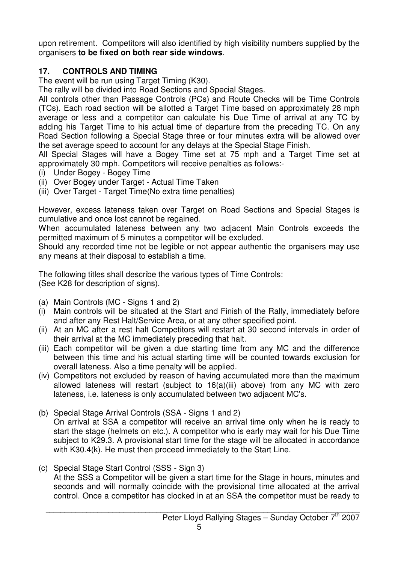upon retirement. Competitors will also identified by high visibility numbers supplied by the organisers **to be fixed on both rear side windows**.

#### **17. CONTROLS AND TIMING**

The event will be run using Target Timing (K30).

The rally will be divided into Road Sections and Special Stages.

All controls other than Passage Controls (PCs) and Route Checks will be Time Controls (TCs). Each road section will be allotted a Target Time based on approximately 28 mph average or less and a competitor can calculate his Due Time of arrival at any TC by adding his Target Time to his actual time of departure from the preceding TC. On any Road Section following a Special Stage three or four minutes extra will be allowed over the set average speed to account for any delays at the Special Stage Finish.

All Special Stages will have a Bogey Time set at 75 mph and a Target Time set at approximately 30 mph. Competitors will receive penalties as follows:-

- (i) Under Bogey Bogey Time
- (ii) Over Bogey under Target Actual Time Taken
- (iii) Over Target Target Time(No extra time penalties)

However, excess lateness taken over Target on Road Sections and Special Stages is cumulative and once lost cannot be regained.

When accumulated lateness between any two adjacent Main Controls exceeds the permitted maximum of 5 minutes a competitor will be excluded.

Should any recorded time not be legible or not appear authentic the organisers may use any means at their disposal to establish a time.

The following titles shall describe the various types of Time Controls: (See K28 for description of signs).

- (a) Main Controls (MC Signs 1 and 2)
- (i) Main controls will be situated at the Start and Finish of the Rally, immediately before and after any Rest Halt/Service Area, or at any other specified point.
- (ii) At an MC after a rest halt Competitors will restart at 30 second intervals in order of their arrival at the MC immediately preceding that halt.
- (iii) Each competitor will be given a due starting time from any MC and the difference between this time and his actual starting time will be counted towards exclusion for overall lateness. Also a time penalty will be applied.
- (iv) Competitors not excluded by reason of having accumulated more than the maximum allowed lateness will restart (subject to 16(a)(iii) above) from any MC with zero lateness, i.e. lateness is only accumulated between two adjacent MC's.
- (b) Special Stage Arrival Controls (SSA Signs 1 and 2) On arrival at SSA a competitor will receive an arrival time only when he is ready to start the stage (helmets on etc.). A competitor who is early may wait for his Due Time subject to K29.3. A provisional start time for the stage will be allocated in accordance with K30.4(k). He must then proceed immediately to the Start Line.
- (c) Special Stage Start Control (SSS Sign 3) At the SSS a Competitor will be given a start time for the Stage in hours, minutes and seconds and will normally coincide with the provisional time allocated at the arrival control. Once a competitor has clocked in at an SSA the competitor must be ready to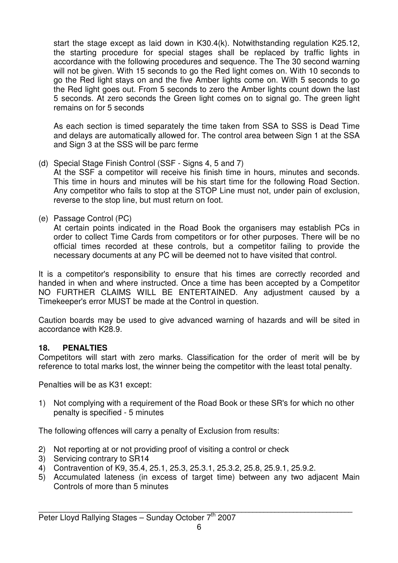start the stage except as laid down in K30.4(k). Notwithstanding regulation K25.12, the starting procedure for special stages shall be replaced by traffic lights in accordance with the following procedures and sequence. The The 30 second warning will not be given. With 15 seconds to go the Red light comes on. With 10 seconds to go the Red light stays on and the five Amber lights come on. With 5 seconds to go the Red light goes out. From 5 seconds to zero the Amber lights count down the last 5 seconds. At zero seconds the Green light comes on to signal go. The green light remains on for 5 seconds

 As each section is timed separately the time taken from SSA to SSS is Dead Time and delays are automatically allowed for. The control area between Sign 1 at the SSA and Sign 3 at the SSS will be parc ferme

(d) Special Stage Finish Control (SSF - Signs 4, 5 and 7)

 At the SSF a competitor will receive his finish time in hours, minutes and seconds. This time in hours and minutes will be his start time for the following Road Section. Any competitor who fails to stop at the STOP Line must not, under pain of exclusion, reverse to the stop line, but must return on foot.

(e) Passage Control (PC)

 At certain points indicated in the Road Book the organisers may establish PCs in order to collect Time Cards from competitors or for other purposes. There will be no official times recorded at these controls, but a competitor failing to provide the necessary documents at any PC will be deemed not to have visited that control.

It is a competitor's responsibility to ensure that his times are correctly recorded and handed in when and where instructed. Once a time has been accepted by a Competitor NO FURTHER CLAIMS WILL BE ENTERTAINED. Any adjustment caused by a Timekeeper's error MUST be made at the Control in question.

Caution boards may be used to give advanced warning of hazards and will be sited in accordance with K28.9.

#### **18. PENALTIES**

Competitors will start with zero marks. Classification for the order of merit will be by reference to total marks lost, the winner being the competitor with the least total penalty.

Penalties will be as K31 except:

1) Not complying with a requirement of the Road Book or these SR's for which no other penalty is specified - 5 minutes

The following offences will carry a penalty of Exclusion from results:

- 2) Not reporting at or not providing proof of visiting a control or check
- 3) Servicing contrary to SR14
- 4) Contravention of K9, 35.4, 25.1, 25.3, 25.3.1, 25.3.2, 25.8, 25.9.1, 25.9.2.
- 5) Accumulated lateness (in excess of target time) between any two adjacent Main Controls of more than 5 minutes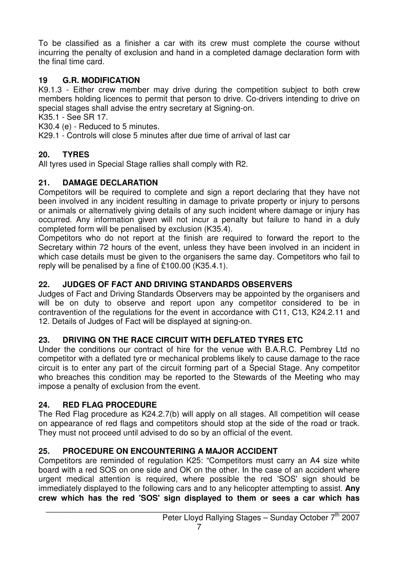To be classified as a finisher a car with its crew must complete the course without incurring the penalty of exclusion and hand in a completed damage declaration form with the final time card.

#### **19 G.R. MODIFICATION**

K9.1.3 - Either crew member may drive during the competition subject to both crew members holding licences to permit that person to drive. Co-drivers intending to drive on special stages shall advise the entry secretary at Signing-on.

K35.1 - See SR 17.

K30.4 (e) - Reduced to 5 minutes.

K29.1 - Controls will close 5 minutes after due time of arrival of last car

#### **20. TYRES**

All tyres used in Special Stage rallies shall comply with R2.

#### **21. DAMAGE DECLARATION**

Competitors will be required to complete and sign a report declaring that they have not been involved in any incident resulting in damage to private property or injury to persons or animals or alternatively giving details of any such incident where damage or injury has occurred. Any information given will not incur a penalty but failure to hand in a duly completed form will be penalised by exclusion (K35.4).

Competitors who do not report at the finish are required to forward the report to the Secretary within 72 hours of the event, unless they have been involved in an incident in which case details must be given to the organisers the same day. Competitors who fail to reply will be penalised by a fine of £100.00 (K35.4.1).

#### **22. JUDGES OF FACT AND DRIVING STANDARDS OBSERVERS**

Judges of Fact and Driving Standards Observers may be appointed by the organisers and will be on duty to observe and report upon any competitor considered to be in contravention of the regulations for the event in accordance with C11, C13, K24.2.11 and 12. Details of Judges of Fact will be displayed at signing-on.

#### **23. DRIVING ON THE RACE CIRCUIT WITH DEFLATED TYRES ETC**

Under the conditions our contract of hire for the venue with B.A.R.C. Pembrey Ltd no competitor with a deflated tyre or mechanical problems likely to cause damage to the race circuit is to enter any part of the circuit forming part of a Special Stage. Any competitor who breaches this condition may be reported to the Stewards of the Meeting who may impose a penalty of exclusion from the event.

#### **24. RED FLAG PROCEDURE**

The Red Flag procedure as K24.2.7(b) will apply on all stages. All competition will cease on appearance of red flags and competitors should stop at the side of the road or track. They must not proceed until advised to do so by an official of the event.

#### **25. PROCEDURE ON ENCOUNTERING A MAJOR ACCIDENT**

Competitors are reminded of regulation K25: "Competitors must carry an A4 size white board with a red SOS on one side and OK on the other. In the case of an accident where urgent medical attention is required, where possible the red 'SOS' sign should be immediately displayed to the following cars and to any helicopter attempting to assist. **Any crew which has the red 'SOS' sign displayed to them or sees a car which has**